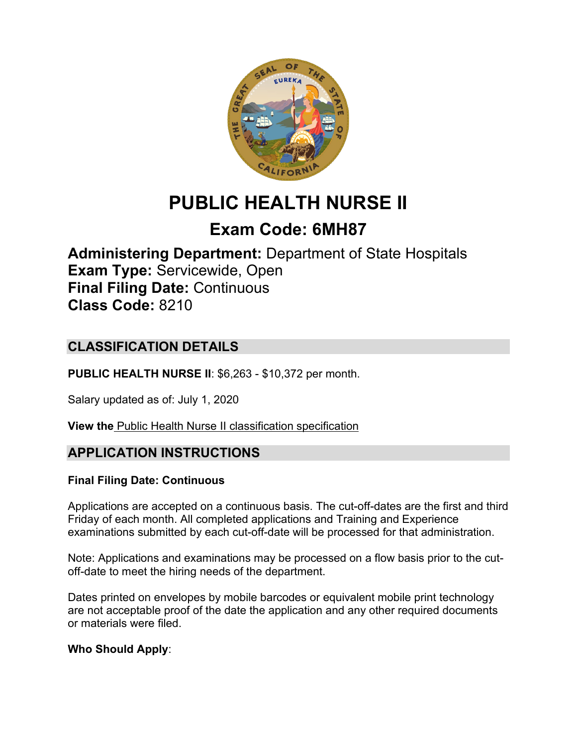

# **PUBLIC HEALTH NURSE II**

## **Exam Code: 6MH87**

**Administering Department:** Department of State Hospitals **Exam Type:** Servicewide, Open **Final Filing Date:** Continuous **Class Code:** 8210

## **CLASSIFICATION DETAILS**

**PUBLIC HEALTH NURSE II**: \$6,263 - \$10,372 per month.

Salary updated as of: July 1, 2020

**View the** [Public Health Nurse II classification specification](https://www.calhr.ca.gov/state-hr-professionals/pages/8210.aspx)

## **APPLICATION INSTRUCTIONS**

#### **Final Filing Date: Continuous**

Applications are accepted on a continuous basis. The cut-off-dates are the first and third Friday of each month. All completed applications and Training and Experience examinations submitted by each cut-off-date will be processed for that administration.

Note: Applications and examinations may be processed on a flow basis prior to the cutoff-date to meet the hiring needs of the department.

Dates printed on envelopes by mobile barcodes or equivalent mobile print technology are not acceptable proof of the date the application and any other required documents or materials were filed.

#### **Who Should Apply**: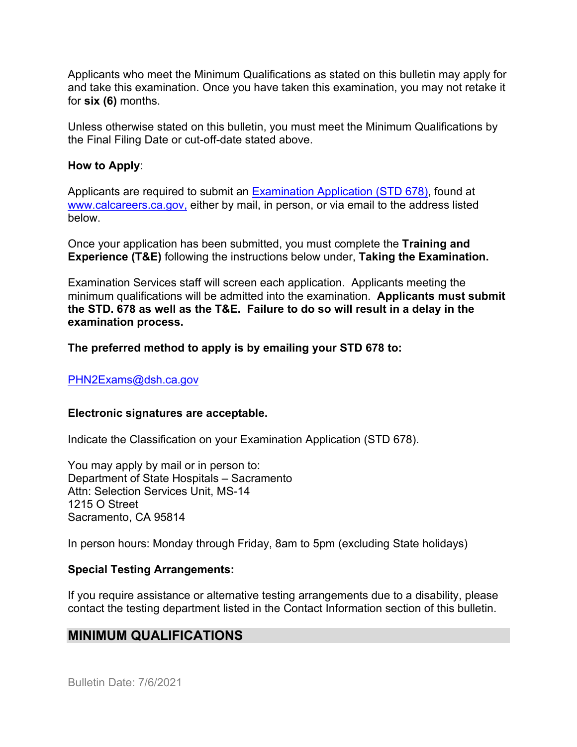Applicants who meet the Minimum Qualifications as stated on this bulletin may apply for and take this examination. Once you have taken this examination, you may not retake it for **six (6)** months.

Unless otherwise stated on this bulletin, you must meet the Minimum Qualifications by the Final Filing Date or cut-off-date stated above.

#### **How to Apply**:

Applicants are required to submit an [Examination Application \(STD 678\),](https://jobs.ca.gov/pdf/std678.pdf) found at [www.calcareers.ca.gov,](http://www.calcareers.ca.gov/) either by mail, in person, or via email to the address listed below.

Once your application has been submitted, you must complete the **Training and Experience (T&E)** following the instructions below under, **Taking the Examination.**

Examination Services staff will screen each application. Applicants meeting the minimum qualifications will be admitted into the examination. **Applicants must submit the STD. 678 as well as the T&E. Failure to do so will result in a delay in the examination process.**

#### **The preferred method to apply is by emailing your STD 678 to:**

#### [PHN2Exams@dsh.ca.gov](mailto:PHN2Exams@dsh.ca.gov)

#### **Electronic signatures are acceptable.**

Indicate the Classification on your Examination Application (STD 678).

You may apply by mail or in person to: Department of State Hospitals – Sacramento Attn: Selection Services Unit, MS-14 1215 O Street Sacramento, CA 95814

In person hours: Monday through Friday, 8am to 5pm (excluding State holidays)

#### **Special Testing Arrangements:**

If you require assistance or alternative testing arrangements due to a disability, please contact the testing department listed in the Contact Information section of this bulletin.

## **MINIMUM QUALIFICATIONS**

Bulletin Date: 7/6/2021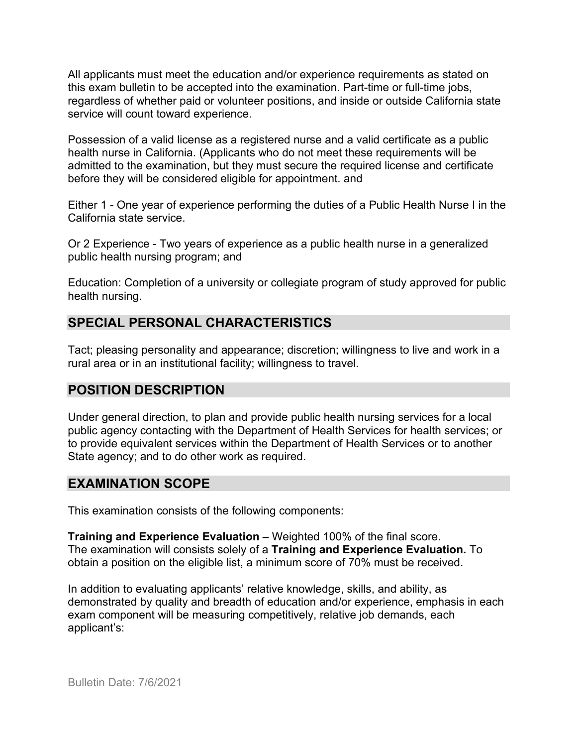All applicants must meet the education and/or experience requirements as stated on this exam bulletin to be accepted into the examination. Part-time or full-time jobs, regardless of whether paid or volunteer positions, and inside or outside California state service will count toward experience.

Possession of a valid license as a registered nurse and a valid certificate as a public health nurse in California. (Applicants who do not meet these requirements will be admitted to the examination, but they must secure the required license and certificate before they will be considered eligible for appointment. and

Either 1 - One year of experience performing the duties of a Public Health Nurse I in the California state service.

Or 2 Experience - Two years of experience as a public health nurse in a generalized public health nursing program; and

Education: Completion of a university or collegiate program of study approved for public health nursing.

## **SPECIAL PERSONAL CHARACTERISTICS**

Tact; pleasing personality and appearance; discretion; willingness to live and work in a rural area or in an institutional facility; willingness to travel.

## **POSITION DESCRIPTION**

Under general direction, to plan and provide public health nursing services for a local public agency contacting with the Department of Health Services for health services; or to provide equivalent services within the Department of Health Services or to another State agency; and to do other work as required.

#### **EXAMINATION SCOPE**

This examination consists of the following components:

**Training and Experience Evaluation –** Weighted 100% of the final score. The examination will consists solely of a **Training and Experience Evaluation.** To obtain a position on the eligible list, a minimum score of 70% must be received.

In addition to evaluating applicants' relative knowledge, skills, and ability, as demonstrated by quality and breadth of education and/or experience, emphasis in each exam component will be measuring competitively, relative job demands, each applicant's: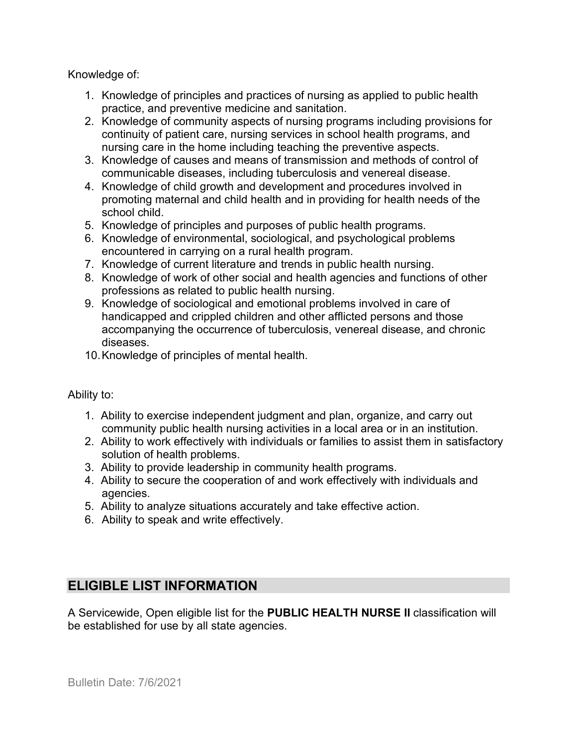Knowledge of:

- 1. Knowledge of principles and practices of nursing as applied to public health practice, and preventive medicine and sanitation.
- 2. Knowledge of community aspects of nursing programs including provisions for continuity of patient care, nursing services in school health programs, and nursing care in the home including teaching the preventive aspects.
- 3. Knowledge of causes and means of transmission and methods of control of communicable diseases, including tuberculosis and venereal disease.
- 4. Knowledge of child growth and development and procedures involved in promoting maternal and child health and in providing for health needs of the school child.
- 5. Knowledge of principles and purposes of public health programs.
- 6. Knowledge of environmental, sociological, and psychological problems encountered in carrying on a rural health program.
- 7. Knowledge of current literature and trends in public health nursing.
- 8. Knowledge of work of other social and health agencies and functions of other professions as related to public health nursing.
- 9. Knowledge of sociological and emotional problems involved in care of handicapped and crippled children and other afflicted persons and those accompanying the occurrence of tuberculosis, venereal disease, and chronic diseases.
- 10.Knowledge of principles of mental health.

Ability to:

- 1. Ability to exercise independent judgment and plan, organize, and carry out community public health nursing activities in a local area or in an institution.
- 2. Ability to work effectively with individuals or families to assist them in satisfactory solution of health problems.
- 3. Ability to provide leadership in community health programs.
- 4. Ability to secure the cooperation of and work effectively with individuals and agencies.
- 5. Ability to analyze situations accurately and take effective action.
- 6. Ability to speak and write effectively.

## **ELIGIBLE LIST INFORMATION**

A Servicewide, Open eligible list for the **PUBLIC HEALTH NURSE II** classification will be established for use by all state agencies.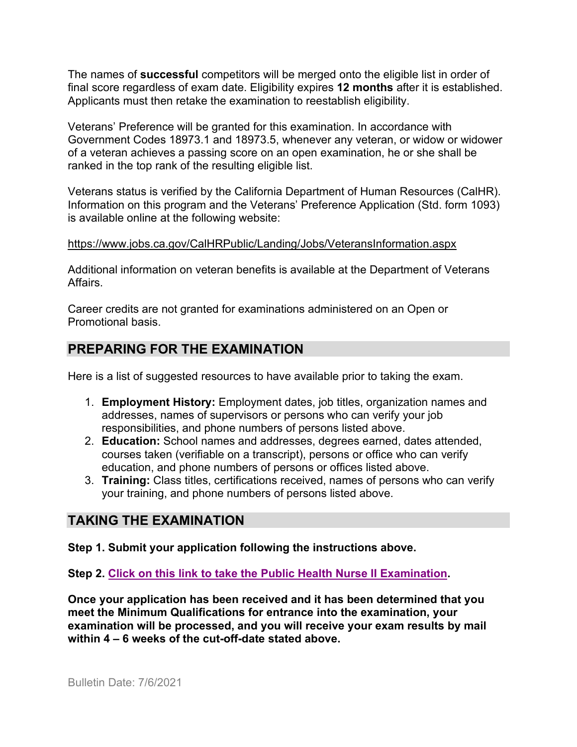The names of **successful** competitors will be merged onto the eligible list in order of final score regardless of exam date. Eligibility expires **12 months** after it is established. Applicants must then retake the examination to reestablish eligibility.

Veterans' Preference will be granted for this examination. In accordance with Government Codes 18973.1 and 18973.5, whenever any veteran, or widow or widower of a veteran achieves a passing score on an open examination, he or she shall be ranked in the top rank of the resulting eligible list.

Veterans status is verified by the California Department of Human Resources (CalHR). Information on this program and the Veterans' Preference Application (Std. form 1093) is available online at the following website:

<https://www.jobs.ca.gov/CalHRPublic/Landing/Jobs/VeteransInformation.aspx>

Additional information on veteran benefits is available at the Department of Veterans Affairs.

Career credits are not granted for examinations administered on an Open or Promotional basis.

## **PREPARING FOR THE EXAMINATION**

Here is a list of suggested resources to have available prior to taking the exam.

- 1. **Employment History:** Employment dates, job titles, organization names and addresses, names of supervisors or persons who can verify your job responsibilities, and phone numbers of persons listed above.
- 2. **Education:** School names and addresses, degrees earned, dates attended, courses taken (verifiable on a transcript), persons or office who can verify education, and phone numbers of persons or offices listed above.
- 3. **Training:** Class titles, certifications received, names of persons who can verify your training, and phone numbers of persons listed above.

## **TAKING THE EXAMINATION**

**Step 1. Submit your application following the instructions above.**

**Step 2. [Click on this link to take the Public Health Nurse II Examination.](https://www.surveymonkey.com/r/V7BJVFG)**

**Once your application has been received and it has been determined that you meet the Minimum Qualifications for entrance into the examination, your examination will be processed, and you will receive your exam results by mail within 4 – 6 weeks of the cut-off-date stated above.**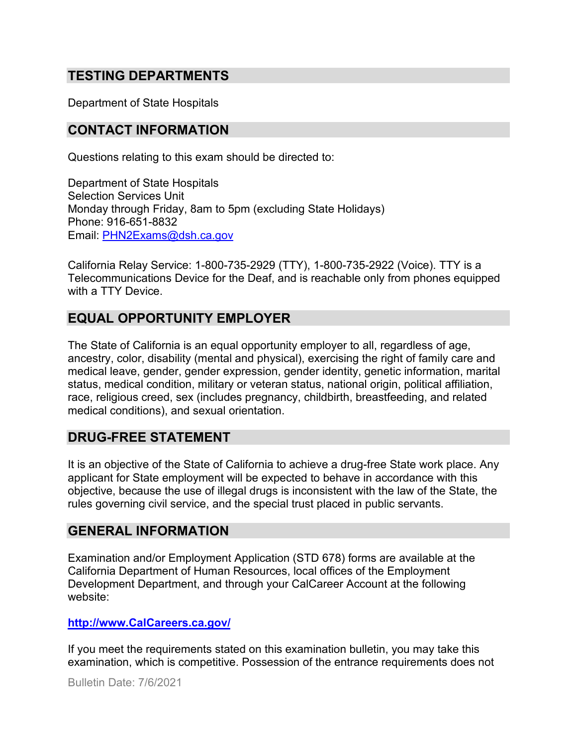### **TESTING DEPARTMENTS**

Department of State Hospitals

#### **CONTACT INFORMATION**

Questions relating to this exam should be directed to:

Department of State Hospitals Selection Services Unit Monday through Friday, 8am to 5pm (excluding State Holidays) Phone: 916-651-8832 Email: [PHN2Exams@dsh.ca.gov](mailto:PHN2Exams@dsh.ca.gov)

California Relay Service: 1-800-735-2929 (TTY), 1-800-735-2922 (Voice). TTY is a Telecommunications Device for the Deaf, and is reachable only from phones equipped with a TTY Device.

### **EQUAL OPPORTUNITY EMPLOYER**

The State of California is an equal opportunity employer to all, regardless of age, ancestry, color, disability (mental and physical), exercising the right of family care and medical leave, gender, gender expression, gender identity, genetic information, marital status, medical condition, military or veteran status, national origin, political affiliation, race, religious creed, sex (includes pregnancy, childbirth, breastfeeding, and related medical conditions), and sexual orientation.

#### **DRUG-FREE STATEMENT**

It is an objective of the State of California to achieve a drug-free State work place. Any applicant for State employment will be expected to behave in accordance with this objective, because the use of illegal drugs is inconsistent with the law of the State, the rules governing civil service, and the special trust placed in public servants.

#### **GENERAL INFORMATION**

Examination and/or Employment Application (STD 678) forms are available at the California Department of Human Resources, local offices of the Employment Development Department, and through your CalCareer Account at the following website:

#### **http://www.CalCareers.ca.gov/**

If you meet the requirements stated on this examination bulletin, you may take this examination, which is competitive. Possession of the entrance requirements does not